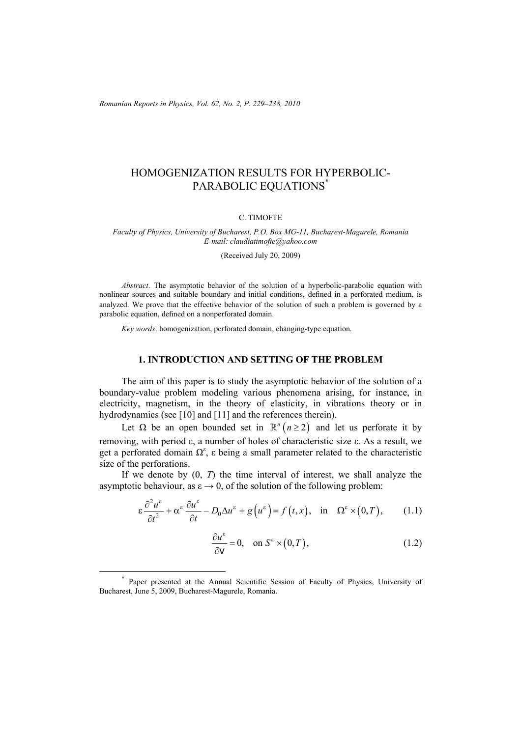*Romanian Reports in Physics, Vol. 62, No. 2, P. 229–238, 2010*

# HOMOGENIZATION RESULTS FOR HYPERBOLIC-PARABOLIC EQUATIONS\*

#### C. TIMOFTE

#### *Faculty of Physics, University of Bucharest, P.O. Box MG-11, Bucharest-Magurele, Romania E-mail: claudiatimofte@yahoo.com*

(Received July 20, 2009)

*Abstract*. The asymptotic behavior of the solution of a hyperbolic-parabolic equation with nonlinear sources and suitable boundary and initial conditions, defined in a perforated medium, is analyzed. We prove that the effective behavior of the solution of such a problem is governed by a parabolic equation, defined on a nonperforated domain.

*Key words*: homogenization, perforated domain, changing-type equation.

### **1. INTRODUCTION AND SETTING OF THE PROBLEM**

The aim of this paper is to study the asymptotic behavior of the solution of a boundary-value problem modeling various phenomena arising, for instance, in electricity, magnetism, in the theory of elasticity, in vibrations theory or in hydrodynamics (see [10] and [11] and the references therein).

Let  $\Omega$  be an open bounded set in  $\mathbb{R}^n$  ( $n \geq 2$ ) and let us perforate it by removing, with period ε, a number of holes of characteristic size ε. As a result, we get a perforated domain  $\Omega^{\epsilon}$ ,  $\epsilon$  being a small parameter related to the characteristic size of the perforations.

If we denote by (0, *T*) the time interval of interest, we shall analyze the asymptotic behaviour, as  $\varepsilon \to 0$ , of the solution of the following problem:

$$
\varepsilon \frac{\partial^2 u^{\varepsilon}}{\partial t^2} + \alpha^{\varepsilon} \frac{\partial u^{\varepsilon}}{\partial t} - D_0 \Delta u^{\varepsilon} + g(u^{\varepsilon}) = f(t, x), \text{ in } \Omega^{\varepsilon} \times (0, T), \qquad (1.1)
$$

$$
\frac{\partial u^{\varepsilon}}{\partial \mathbf{v}} = 0, \quad \text{on } S^{\varepsilon} \times (0, T), \tag{1.2}
$$

 <sup>\*</sup> Paper presented at the Annual Scientific Session of Faculty of Physics, University of Bucharest, June 5, 2009, Bucharest-Magurele, Romania.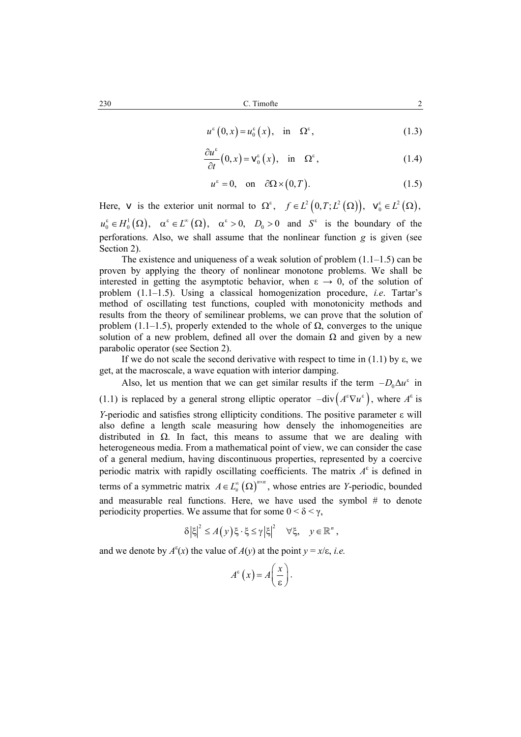$$
u^{\varepsilon}(0,x) = u_0^{\varepsilon}(x), \quad \text{in} \quad \Omega^{\varepsilon}, \tag{1.3}
$$

$$
\frac{\partial u^{\varepsilon}}{\partial t}(0, x) = \mathbf{v}_{0}^{\varepsilon}(x), \text{ in } \Omega^{\varepsilon}, \qquad (1.4)
$$

$$
u^{\varepsilon} = 0, \quad \text{on} \quad \partial\Omega \times (0, T). \tag{1.5}
$$

Here, v is the exterior unit normal to  $\Omega^{\varepsilon}$ ,  $f \in L^2(0,T; L^2(\Omega))$ ,  $v_0^{\varepsilon} \in L^2(\Omega)$ ,  $u_0^{\varepsilon} \in H_0^1(\Omega)$ ,  $\alpha^{\varepsilon} \in L^{\infty}(\Omega)$ ,  $\alpha^{\varepsilon} > 0$ ,  $D_0 > 0$  and  $S^{\varepsilon}$  is the boundary of the perforations. Also, we shall assume that the nonlinear function *g* is given (see Section 2).

The existence and uniqueness of a weak solution of problem  $(1.1-1.5)$  can be proven by applying the theory of nonlinear monotone problems. We shall be interested in getting the asymptotic behavior, when  $\varepsilon \to 0$ , of the solution of problem (1.1–1.5). Using a classical homogenization procedure, *i.e*. Tartar's method of oscillating test functions, coupled with monotonicity methods and results from the theory of semilinear problems, we can prove that the solution of problem (1.1–1.5), properly extended to the whole of  $\Omega$ , converges to the unique solution of a new problem, defined all over the domain  $\Omega$  and given by a new parabolic operator (see Section 2).

If we do not scale the second derivative with respect to time in (1.1) by  $\varepsilon$ , we get, at the macroscale, a wave equation with interior damping.

Also, let us mention that we can get similar results if the term  $-D_0 \Delta u^{\varepsilon}$  in (1.1) is replaced by a general strong elliptic operator  $-\text{div} (A^{\epsilon} \nabla u^{\epsilon})$ , where  $A^{\epsilon}$  is *Y*-periodic and satisfies strong ellipticity conditions. The positive parameter ε will also define a length scale measuring how densely the inhomogeneities are distributed in  $\Omega$ . In fact, this means to assume that we are dealing with heterogeneous media. From a mathematical point of view, we can consider the case of a general medium, having discontinuous properties, represented by a coercive periodic matrix with rapidly oscillating coefficients. The matrix *A*ε is defined in terms of a symmetric matrix  $A \in L^{\infty}_{\#}(\Omega)^{n \times n}$ , whose entries are *Y*-periodic, bounded and measurable real functions. Here, we have used the symbol  $#$  to denote periodicity properties. We assume that for some  $0 < \delta < \gamma$ ,

$$
\delta |\xi|^2 \le A(y) \xi \cdot \xi \le \gamma |\xi|^2 \quad \forall \xi, \quad y \in \mathbb{R}^n,
$$

and we denote by  $A^{\varepsilon}(x)$  the value of  $A(y)$  at the point  $y = x/\varepsilon$ , *i.e.* 

$$
A^{\varepsilon}\left(x\right) = A\left(\frac{x}{\varepsilon}\right).
$$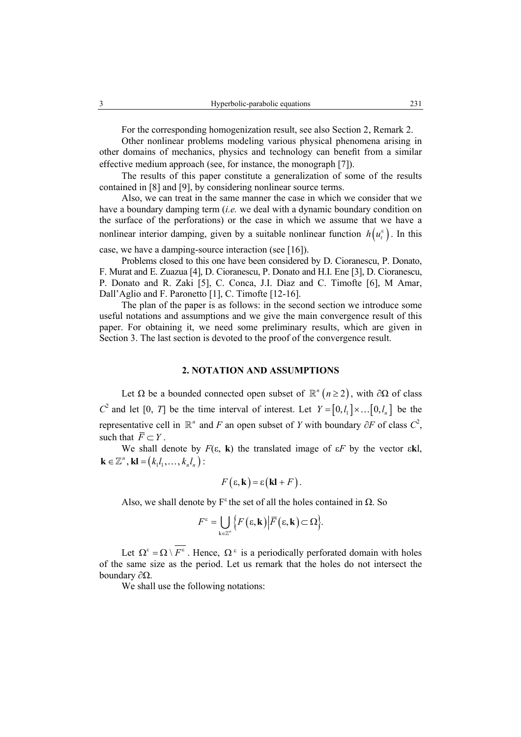For the corresponding homogenization result, see also Section 2, Remark 2.

Other nonlinear problems modeling various physical phenomena arising in other domains of mechanics, physics and technology can benefit from a similar effective medium approach (see, for instance, the monograph [7]).

The results of this paper constitute a generalization of some of the results contained in [8] and [9], by considering nonlinear source terms.

Also, we can treat in the same manner the case in which we consider that we have a boundary damping term (*i.e.* we deal with a dynamic boundary condition on the surface of the perforations) or the case in which we assume that we have a nonlinear interior damping, given by a suitable nonlinear function  $h(u_i^{\varepsilon})$ . In this

case, we have a damping-source interaction (see [16]).

Problems closed to this one have been considered by D. Cioranescu, P. Donato, F. Murat and E. Zuazua [4], D. Cioranescu, P. Donato and H.I. Ene [3], D. Cioranescu, P. Donato and R. Zaki [5], C. Conca, J.I. Dìaz and C. Timofte [6], M Amar, Dall'Aglio and F. Paronetto [1], C. Timofte [12-16].

The plan of the paper is as follows: in the second section we introduce some useful notations and assumptions and we give the main convergence result of this paper. For obtaining it, we need some preliminary results, which are given in Section 3. The last section is devoted to the proof of the convergence result.

### **2. NOTATION AND ASSUMPTIONS**

Let  $\Omega$  be a bounded connected open subset of  $\mathbb{R}^n$  ( $n \ge 2$ ), with ∂ $\Omega$  of class  $C^2$  and let [0, *T*] be the time interval of interest. Let  $Y = [0, l_1] \times ... [0, l_n]$  be the representative cell in  $\mathbb{R}^n$  and *F* an open subset of *Y* with boundary ∂*F* of class  $C^2$ , such that  $\overline{F} \subset Y$ 

We shall denote by  $F(\varepsilon, \mathbf{k})$  the translated image of  $\varepsilon F$  by the vector  $\varepsilon \mathbf{k}$ .  $\mathbf{k} \in \mathbb{Z}^n$ ,  $\mathbf{k} \mathbf{l} = (k_1 l_1, \dots, k_n l_n)$ :

$$
F(\varepsilon, \mathbf{k}) = \varepsilon (\mathbf{k} \mathbf{l} + F).
$$

Also, we shall denote by  $F^{\epsilon}$  the set of all the holes contained in  $\Omega$ . So

$$
F^{\varepsilon} = \bigcup_{\mathbf{k} \in \mathbb{Z}^n} \Big\{ F\big(\varepsilon, \mathbf{k}\big) \Big| \overline{F}\big(\varepsilon, \mathbf{k}\big) \subset \Omega \Big\}.
$$

Let  $\Omega^{\varepsilon} = \Omega \setminus \overline{F^{\varepsilon}}$ . Hence,  $\Omega^{\varepsilon}$  is a periodically perforated domain with holes of the same size as the period. Let us remark that the holes do not intersect the boundary ∂Ω.

We shall use the following notations: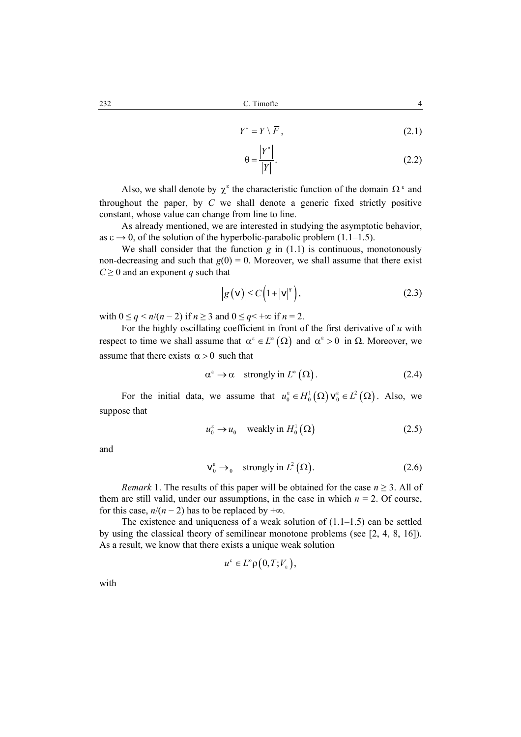$$
Y^* = Y \setminus \overline{F},\tag{2.1}
$$

$$
\theta = \frac{|Y^*|}{|Y|}.\tag{2.2}
$$

Also, we shall denote by  $\chi^{\epsilon}$  the characteristic function of the domain  $\Omega^{\epsilon}$  and throughout the paper, by *C* we shall denote a generic fixed strictly positive constant, whose value can change from line to line.

As already mentioned, we are interested in studying the asymptotic behavior, as  $\varepsilon \rightarrow 0$ , of the solution of the hyperbolic-parabolic problem (1.1–1.5).

We shall consider that the function  $g$  in  $(1.1)$  is continuous, monotonously non-decreasing and such that  $g(0) = 0$ . Moreover, we shall assume that there exist  $C \geq 0$  and an exponent *q* such that

$$
|g(v)| \le C\left(1+|v|^q\right),\tag{2.3}
$$

with  $0 \leq q \leq n/(n-2)$  if  $n \geq 3$  and  $0 \leq q \leq +\infty$  if  $n = 2$ .

For the highly oscillating coefficient in front of the first derivative of *u* with respect to time we shall assume that  $\alpha^{\varepsilon} \in L^{\infty}(\Omega)$  and  $\alpha^{\varepsilon} > 0$  in  $\Omega$ . Moreover, we assume that there exists  $\alpha > 0$  such that

$$
\alpha^{\varepsilon} \to \alpha \quad \text{strongly in } L^{\infty}(\Omega). \tag{2.4}
$$

For the initial data, we assume that  $u_0^{\varepsilon} \in H_0^1(\Omega)$   $v_0^{\varepsilon} \in L^2(\Omega)$ . Also, we suppose that

$$
u_0^{\varepsilon} \to u_0 \quad \text{weakly in } H_0^1(\Omega) \tag{2.5}
$$

and

$$
\mathbf{v}_0^{\varepsilon} \to_0 \quad \text{strongly in } L^2(\Omega). \tag{2.6}
$$

*Remark* 1. The results of this paper will be obtained for the case  $n \geq 3$ . All of them are still valid, under our assumptions, in the case in which  $n = 2$ . Of course, for this case,  $n/(n-2)$  has to be replaced by  $+\infty$ .

The existence and uniqueness of a weak solution of  $(1.1-1.5)$  can be settled by using the classical theory of semilinear monotone problems (see [2, 4, 8, 16]). As a result, we know that there exists a unique weak solution

$$
u^{\varepsilon} \in L^{\infty} \rho\big(0, T; V_{\varepsilon}\big),
$$

with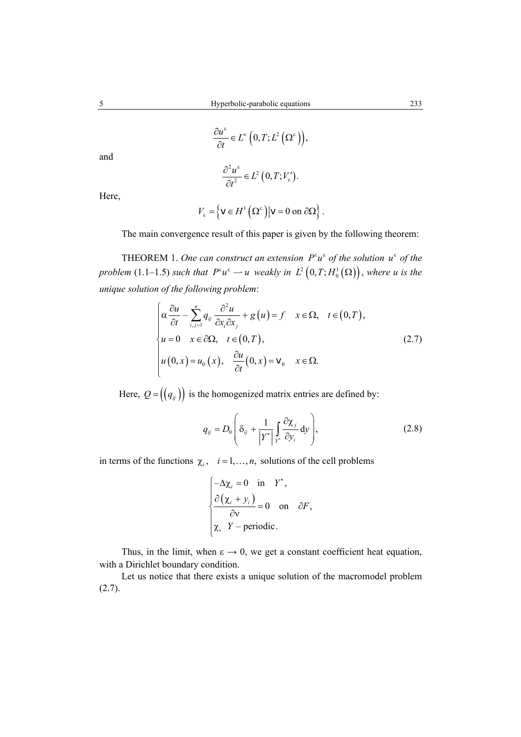$$
\frac{\partial u^{\varepsilon}}{\partial t} \in L^{\infty}\left(0, T; L^{2}\left(\Omega^{\varepsilon}\right)\right),\,
$$

and

$$
\frac{\partial^2 u^{\varepsilon}}{\partial t^2} \in L^2\left(0, T; V_{\varepsilon}\right).
$$

Here,

$$
V_{\varepsilon} = \left\{ \mathbf{v} \in H^{1} \left( \Omega^{\varepsilon} \right) \middle| \mathbf{v} = 0 \text{ on } \partial \Omega \right\}.
$$

The main convergence result of this paper is given by the following theorem:

THEOREM 1. *One can construct an extension*  $P^{\varepsilon}u^{\varepsilon}$  *of the solution*  $u^{\varepsilon}$  *of the problem* (1.1–1.5) *such that*  $P^{\varepsilon}u^{\varepsilon} \to u$  *weakly in*  $L^2(0,T;H_0^1(\Omega))$ , *where u is the unique solution of the following problem*:

$$
\begin{cases}\n\alpha \frac{\partial u}{\partial t} - \sum_{i,j=1}^{n} q_{ij} \frac{\partial^2 u}{\partial x_i \partial x_j} + g(u) = f & x \in \Omega, \quad t \in (0, T), \\
u = 0 & x \in \partial \Omega, \quad t \in (0, T), \\
u(0, x) = u_0(x), \quad \frac{\partial u}{\partial t}(0, x) = \mathbf{v}_0 & x \in \Omega.\n\end{cases}
$$
\n(2.7)

Here,  $Q = ((q_{ij}))$  is the homogenized matrix entries are defined by:

$$
q_{ij} = D_0 \left( \delta_{ij} + \frac{1}{|Y^*|} \int_{Y^*} \frac{\partial \chi_j}{\partial y_i} dy \right),
$$
 (2.8)

in terms of the functions  $\chi_i$ ,  $i = 1, ..., n$ , solutions of the cell problems

$$
\begin{cases}\n-\Delta \chi_i = 0 & \text{in } Y^*, \\
\frac{\partial (\chi_i + y_i)}{\partial v} = 0 & \text{on } \partial F, \\
\chi_i & Y - \text{periodic.} \n\end{cases}
$$

Thus, in the limit, when  $\varepsilon \to 0$ , we get a constant coefficient heat equation, with a Dirichlet boundary condition.

Let us notice that there exists a unique solution of the macromodel problem  $(2.7).$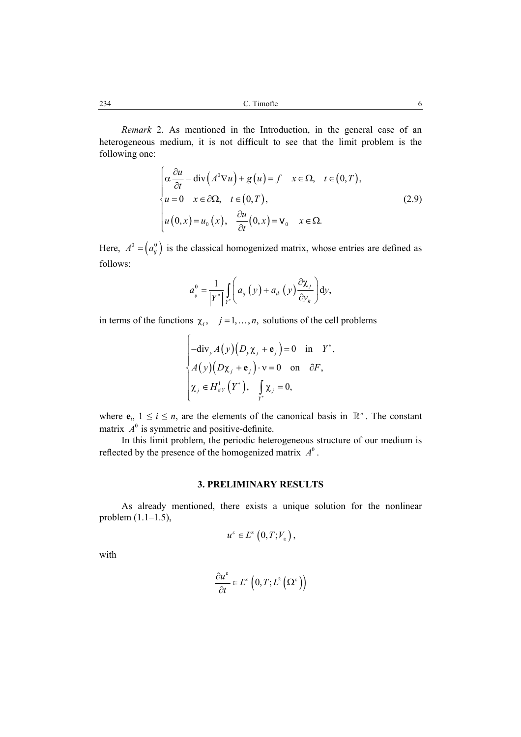234 C. Timofte 6

*Remark* 2. As mentioned in the Introduction, in the general case of an heterogeneous medium, it is not difficult to see that the limit problem is the following one:

$$
\begin{cases}\n\alpha \frac{\partial u}{\partial t} - \operatorname{div}\left(A^{0} \nabla u\right) + g\left(u\right) = f & x \in \Omega, \quad t \in (0, T), \\
u = 0 & x \in \partial\Omega, \quad t \in (0, T), \\
u\left(0, x\right) = u_{0}\left(x\right), \quad \frac{\partial u}{\partial t}\left(0, x\right) = \mathbf{v}_{0} & x \in \Omega.\n\end{cases}
$$
\n(2.9)

Here,  $A^0 = (a_{ij}^0)$  is the classical homogenized matrix, whose entries are defined as follows:

$$
a_{ij}^{0} = \frac{1}{\left|Y^*\right|} \int\limits_{Y^*} \left( a_{ij}\left(y\right) + a_{ik}\left(y\right) \frac{\partial \chi_j}{\partial y_k} \right) dy,
$$

in terms of the functions  $\chi_i$ ,  $j = 1, ..., n$ , solutions of the cell problems

$$
\begin{cases}\n-\text{div}_{y}A(y)\big(D_{y}\chi_{j}+\mathbf{e}_{j}\big)=0 & \text{in} \quad Y^*,\\ \nA(y)\big(D\chi_{j}+\mathbf{e}_{j}\big)\cdot\mathbf{v}=0 & \text{on} \quad \partial F,\\ \n\chi_{j}\in H_{\#Y}^1\big(Y^*\big), & \int_{Y^*}\chi_{j}=0,\n\end{cases}
$$

where  $e_i$ ,  $1 \le i \le n$ , are the elements of the canonical basis in  $\mathbb{R}^n$ . The constant matrix  $A^0$  is symmetric and positive-definite.

In this limit problem, the periodic heterogeneous structure of our medium is reflected by the presence of the homogenized matrix  $A^0$ .

## **3. PRELIMINARY RESULTS**

As already mentioned, there exists a unique solution for the nonlinear problem (1.1–1.5),

$$
u^{\varepsilon} \in L^{\infty}\left(0, T; V_{\varepsilon}\right),
$$

with

$$
\frac{\partial u^{\varepsilon}}{\partial t}\in L^{\infty}\left(0,T;L^{2}\left(\Omega^{\varepsilon}\right)\right)
$$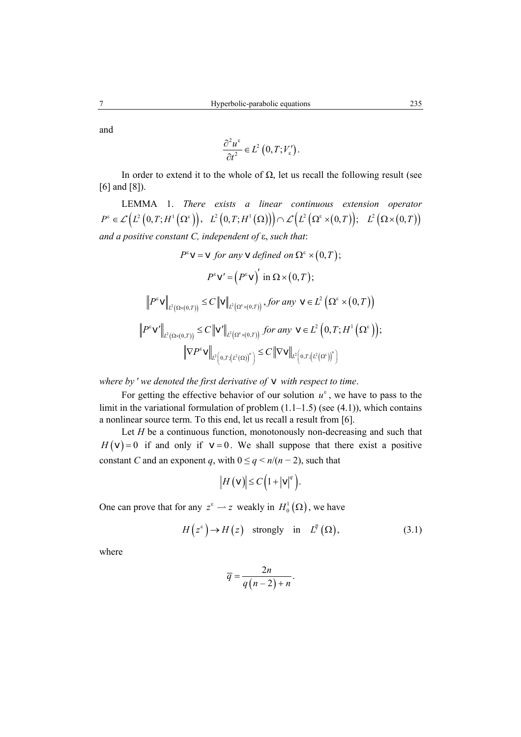and

$$
\frac{\partial^2 u^{\varepsilon}}{\partial t^2} \in L^2\left(0, T; V_{\varepsilon}\right).
$$

In order to extend it to the whole of  $\Omega$ , let us recall the following result (see [6] and [8]).

LEMMA 1. *There exists a linear continuous extension operator*  $P^{\varepsilon} \in \mathcal{L}\left(L^{2}\left(0, T ; H^{1}\left(\Omega^{\varepsilon}\right)\right), \ L^{2}\left(0, T ; H^{1}\left(\Omega\right)\right)\right) \cap \mathcal{L}\left(L^{2}\left(\Omega^{\varepsilon}\times\left(0, T\right)\right); \ L^{2}\left(\Omega\times\left(0, T\right)\right)\right)$ *and a positive constant C, independent of* ε, *such that*:

$$
P^{\varepsilon} \mathbf{v} = \mathbf{v} \text{ for any } \mathbf{v} \text{ defined on } \Omega^{\varepsilon} \times (0, T);
$$
\n
$$
P^{\varepsilon} \mathbf{v}' = (P^{\varepsilon} \mathbf{v})' \text{ in } \Omega \times (0, T);
$$
\n
$$
\left\| P^{\varepsilon} \mathbf{v} \right\|_{L^{2}(\Omega \times (0, T))} \leq C \left\| \mathbf{v} \right\|_{L^{2}(\Omega^{\varepsilon} \times (0, T))}, \text{ for any } \mathbf{v} \in L^{2} \left( \Omega^{\varepsilon} \times (0, T) \right)
$$
\n
$$
\left\| P^{\varepsilon} \mathbf{v}' \right\|_{L^{2}(\Omega \times (0, T))} \leq C \left\| \mathbf{v}' \right\|_{L^{2}(\Omega^{\varepsilon} \times (0, T))} \text{ for any } \mathbf{v} \in L^{2} \left( 0, T; H^{1} \left( \Omega^{\varepsilon} \right) \right);
$$
\n
$$
\left\| \nabla P^{\varepsilon} \mathbf{v} \right\|_{L^{2} \left( 0, T; \left( L^{2}(\Omega) \right)^{\alpha} \right)} \leq C \left\| \nabla \mathbf{v} \right\|_{L^{2} \left( 0, T; \left( L^{2}(\Omega^{\varepsilon}) \right)^{\alpha} \right)}
$$

*where by* ′ *we denoted the first derivative of* v *with respect to time*.

For getting the effective behavior of our solution  $u^{\varepsilon}$ , we have to pass to the limit in the variational formulation of problem  $(1.1-1.5)$  (see  $(4.1)$ ), which contains a nonlinear source term. To this end, let us recall a result from [6].

Let *H* be a continuous function, monotonously non-decreasing and such that  $H(v) = 0$  if and only if  $v = 0$ . We shall suppose that there exist a positive constant *C* and an exponent *q*, with  $0 \leq q \leq n/(n-2)$ , such that

$$
\left|H\left(\mathbf{v}\right)\right|\leq C\left(1+\left|\mathbf{v}\right|^q\right).
$$

One can prove that for any  $z^{\epsilon} \to z$  weakly in  $H_0^1(\Omega)$ , we have

$$
H(z^{\varepsilon}) \to H(z) \quad \text{strongly} \quad \text{in} \quad L^{\overline{q}}(\Omega), \tag{3.1}
$$

where

$$
\overline{q} = \frac{2n}{q(n-2)+n}.
$$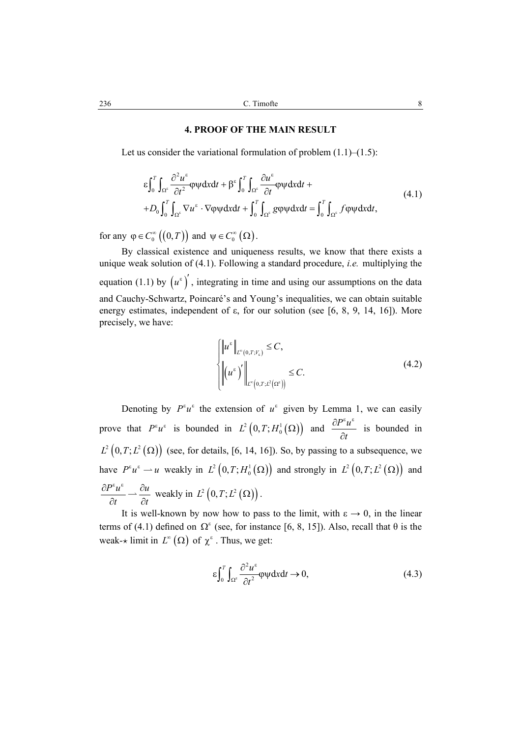#### **4. PROOF OF THE MAIN RESULT**

Let us consider the variational formulation of problem  $(1.1)$ – $(1.5)$ :

$$
\varepsilon \int_0^T \int_{\Omega^{\varepsilon}} \frac{\partial^2 u^{\varepsilon}}{\partial t^2} \varphi \psi dx dt + \beta^{\varepsilon} \int_0^T \int_{\Omega^{\varepsilon}} \frac{\partial u^{\varepsilon}}{\partial t} \varphi \psi dx dt ++ D_0 \int_0^T \int_{\Omega^{\varepsilon}} \nabla u^{\varepsilon} \cdot \nabla \varphi \psi dx dt + \int_0^T \int_{\Omega^{\varepsilon}} g \varphi \psi dx dt = \int_0^T \int_{\Omega^{\varepsilon}} f \varphi \psi dx dt,
$$
\n(4.1)

for any  $\varphi \in C_0^{\infty}((0,T))$  and  $\psi \in C_0^{\infty}(\Omega)$ .

By classical existence and uniqueness results, we know that there exists a unique weak solution of (4.1). Following a standard procedure, *i.e.* multiplying the equation (1.1) by  $(u^{\varepsilon})'$ , integrating in time and using our assumptions on the data and Cauchy-Schwartz, Poincaré's and Young's inequalities, we can obtain suitable energy estimates, independent of  $\varepsilon$ , for our solution (see [6, 8, 9, 14, 16]). More precisely, we have:

$$
\begin{cases} \left\|u^{\varepsilon}\right\|_{L^{\infty}(0,T;V_{\varepsilon})} \leq C, \\ \left\|u^{\varepsilon}\right|' \right\|_{L^{\infty}(0,T;L^{2}(\Omega^{\varepsilon}))} \leq C. \end{cases}
$$
\n(4.2)

Denoting by  $P^{\varepsilon}u^{\varepsilon}$  the extension of  $u^{\varepsilon}$  given by Lemma 1, we can easily prove that  $P^{\varepsilon} u^{\varepsilon}$  is bounded in  $L^2(0,T; H_0^1(\Omega))$  and  $\frac{\partial P^{\varepsilon} u}{\partial t}$  $\partial P^{\varepsilon} u^{\varepsilon}$ ∂ is bounded in  $L^2(0, T; L^2(\Omega))$  (see, for details, [6, 14, 16]). So, by passing to a subsequence, we have  $P^{\varepsilon} u^{\varepsilon} \to u$  weakly in  $L^2(0,T; H_0^1(\Omega))$  and strongly in  $L^2(0,T; L^2(\Omega))$  and  $P^{\varepsilon}u^{\varepsilon}$   $\partial u$ *t t*  $\frac{\partial P^{\varepsilon} u^{\varepsilon}}{\partial t} \to \frac{\partial u}{\partial t}$  weakly in  $L^2(0, T; L^2(\Omega))$ .

It is well-known by now how to pass to the limit, with  $\varepsilon \to 0$ , in the linear terms of (4.1) defined on  $\Omega^{\epsilon}$  (see, for instance [6, 8, 15]). Also, recall that  $\theta$  is the weak- $\star$  limit in  $L^{\infty}(\Omega)$  of  $\chi^{\epsilon}$ . Thus, we get:

$$
\varepsilon \int_0^T \int_{\Omega^{\varepsilon}} \frac{\partial^2 u^{\varepsilon}}{\partial t^2} \varphi \psi dx dt \to 0,
$$
\n(4.3)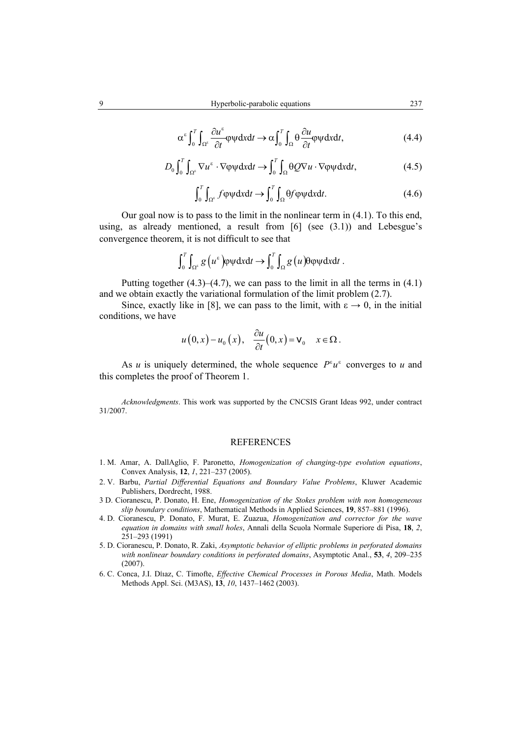$$
\alpha^{\varepsilon} \int_0^T \int_{\Omega^{\varepsilon}} \frac{\partial u^{\varepsilon}}{\partial t} \varphi \psi dx dt \to \alpha \int_0^T \int_{\Omega} \theta \frac{\partial u}{\partial t} \varphi \psi dx dt, \tag{4.4}
$$

$$
D_0 \int_0^T \int_{\Omega^\epsilon} \nabla u^\epsilon \cdot \nabla \varphi \psi \mathrm{d}x \mathrm{d}t \to \int_0^T \int_{\Omega} \theta Q \nabla u \cdot \nabla \varphi \psi \mathrm{d}x \mathrm{d}t, \tag{4.5}
$$

$$
\int_0^T \int_{\Omega^{\epsilon}} f \varphi \psi \mathrm{d}x \mathrm{d}t \to \int_0^T \int_{\Omega} \Theta f \varphi \psi \mathrm{d}x \mathrm{d}t. \tag{4.6}
$$

Our goal now is to pass to the limit in the nonlinear term in (4.1). To this end, using, as already mentioned, a result from  $[6]$  (see  $(3.1)$ ) and Lebesgue's convergence theorem, it is not difficult to see that

$$
\int_0^T \int_{\Omega^{\epsilon}} g\left(u^{\epsilon}\right) \varphi \psi \mathrm{d}x \mathrm{d}t \to \int_0^T \int_{\Omega} g\left(u\right) \varphi \varphi \psi \mathrm{d}x \mathrm{d}t \; .
$$

Putting together  $(4.3)$ – $(4.7)$ , we can pass to the limit in all the terms in  $(4.1)$ and we obtain exactly the variational formulation of the limit problem (2.7).

Since, exactly like in [8], we can pass to the limit, with  $\varepsilon \to 0$ , in the initial conditions, we have

$$
u(0,x)-u_0(x), \quad \frac{\partial u}{\partial t}(0,x)=\mathbf{v}_0 \quad x \in \Omega.
$$

As *u* is uniquely determined, the whole sequence  $P^{\varepsilon}u^{\varepsilon}$  converges to *u* and this completes the proof of Theorem 1.

*Acknowledgments*. This work was supported by the CNCSIS Grant Ideas 992, under contract 31/2007.

#### REFERENCES

- 1. M. Amar, A. DallAglio, F. Paronetto, *Homogenization of changing-type evolution equations*, Convex Analysis, **12**, *1*, 221–237 (2005).
- 2. V. Barbu, *Partial Differential Equations and Boundary Value Problems*, Kluwer Academic Publishers, Dordrecht, 1988.
- 3 D. Cioranescu, P. Donato, H. Ene, *Homogenization of the Stokes problem with non homogeneous slip boundary conditions*, Mathematical Methods in Applied Sciences, **19**, 857–881 (1996).
- 4. D. Cioranescu, P. Donato, F. Murat, E. Zuazua, *Homogenization and corrector for the wave equation in domains with small holes*, Annali della Scuola Normale Superiore di Pisa, **18**, *2*, 251–293 (1991)
- 5. D. Cioranescu, P. Donato, R. Zaki, *Asymptotic behavior of elliptic problems in perforated domains with nonlinear boundary conditions in perforated domains*, Asymptotic Anal., **53**, *4*, 209–235 (2007).
- 6. C. Conca, J.I. DÍıaz, C. Timofte, *Effective Chemical Processes in Porous Media*, Math. Models Methods Appl. Sci. (M3AS), **13**, *10*, 1437–1462 (2003).